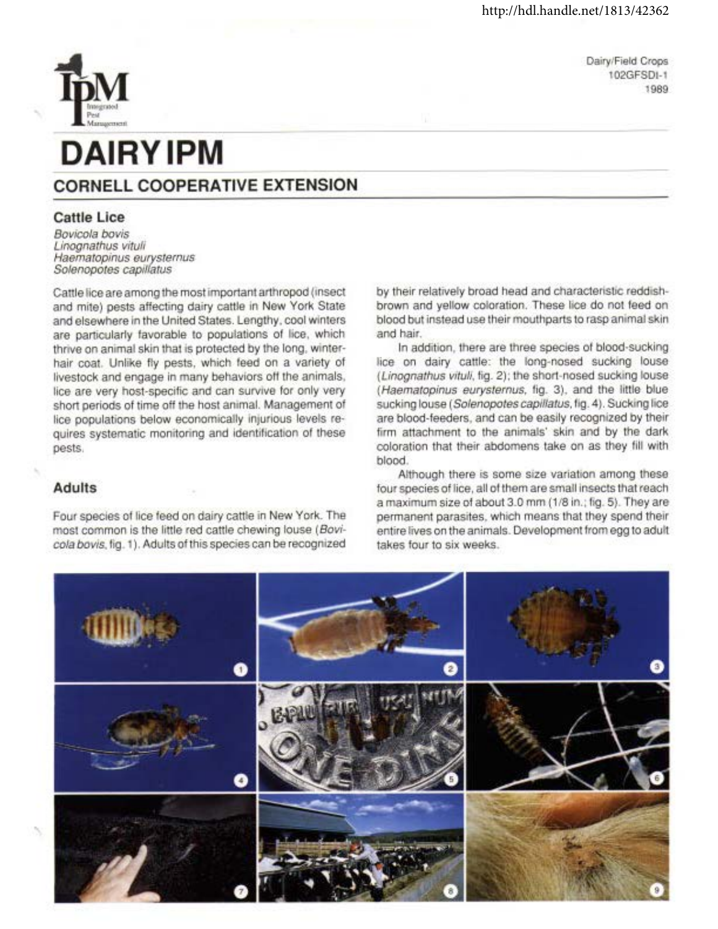Dairy/Field Crops 102GFSDI-1 1989

# **DAIRY IPM**

## **CORNELL COOPERATIVE EXTENSION**

### **Cattle Lice**

Bovicola bovis Linognathus vituli Haematopinus eurysternus Solenopotes capillatus

Cattle lice are among the most important arthropod (insect and mite) pests affecting dairy cattle in New York State and elsewhere in the United States. Lengthy, cool winters are particularly favorable to populations of lice, which thrive on animal skin that is protected by the long, winterhair coat. Unlike fly pests, which feed on a variety of livestock and engage in many behaviors off the animals, lice are very host-specific and can survive for only very short periods of time off the host animal. Management of lice populations below economically injurious levels requires systematic monitoring and identification of these pests.

#### **Adults**

Four species of lice feed on dairy cattle in New York. The most common is the little red cattle chewing louse (Bovicola bovis, fig. 1). Adults of this species can be recognized

by their relatively broad head and characteristic reddishbrown and yellow coloration. These lice do not feed on blood but instead use their mouthparts to rasp animal skin and hair.

In addition, there are three species of blood-sucking lice on dairy cattle: the long-nosed sucking louse (Linognathus vituli, fig. 2); the short-nosed sucking louse (Haematopinus eurysternus, fig. 3), and the little blue sucking louse (Solenopotes capillatus, fig. 4). Sucking lice are blood-feeders, and can be easily recognized by their firm attachment to the animals' skin and by the dark coloration that their abdomens take on as they fill with blood.

Although there is some size variation among these four species of lice, all of them are small insects that reach a maximum size of about 3.0 mm (1/8 in.; fig. 5). They are permanent parasites, which means that they spend their entire lives on the animals. Development from egg to adult takes four to six weeks.